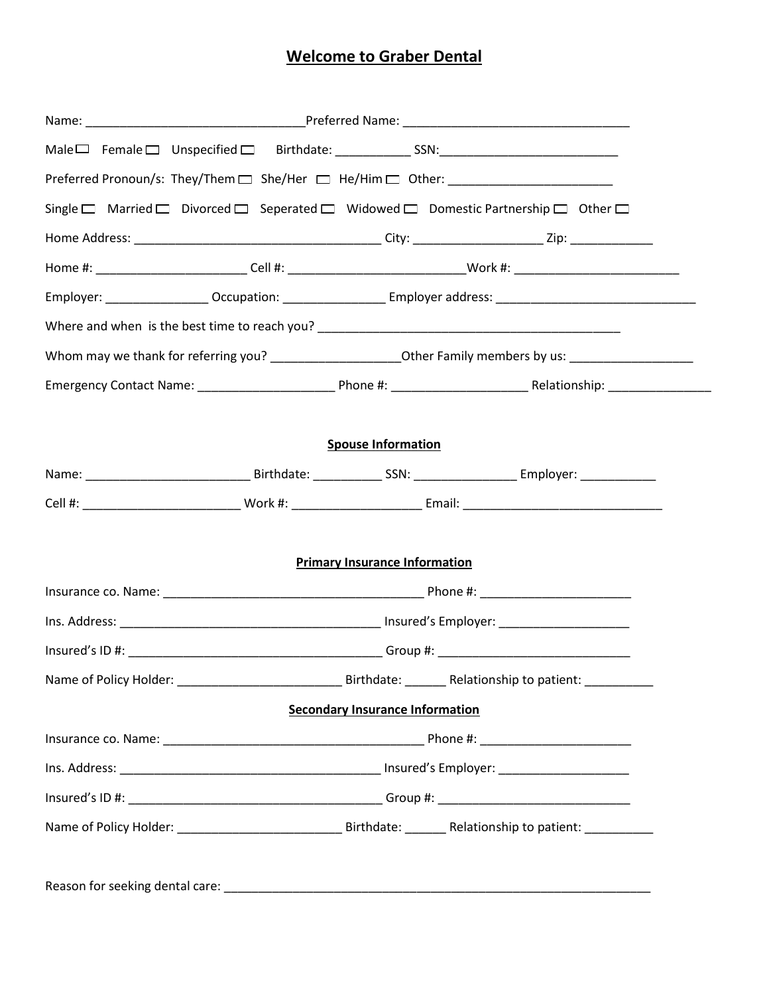## **Welcome to Graber Dental**

|  | Preferred Pronoun/s: They/Them □ She/Her □ He/Him □ Other: _____________________ |                                        |                                                                                                                |  |  |
|--|----------------------------------------------------------------------------------|----------------------------------------|----------------------------------------------------------------------------------------------------------------|--|--|
|  |                                                                                  |                                        | Single □ Married □ Divorced □ Seperated □ Widowed □ Domestic Partnership □ Other □                             |  |  |
|  |                                                                                  |                                        |                                                                                                                |  |  |
|  |                                                                                  |                                        | Home #: _____________________________Cell #: _________________________________Work #: ________________________ |  |  |
|  |                                                                                  |                                        |                                                                                                                |  |  |
|  |                                                                                  |                                        |                                                                                                                |  |  |
|  |                                                                                  |                                        | Whom may we thank for referring you? ___________________________Other Family members by us: __________________ |  |  |
|  |                                                                                  |                                        |                                                                                                                |  |  |
|  |                                                                                  |                                        |                                                                                                                |  |  |
|  |                                                                                  | <b>Spouse Information</b>              |                                                                                                                |  |  |
|  |                                                                                  |                                        |                                                                                                                |  |  |
|  |                                                                                  |                                        |                                                                                                                |  |  |
|  |                                                                                  |                                        |                                                                                                                |  |  |
|  |                                                                                  | <b>Primary Insurance Information</b>   |                                                                                                                |  |  |
|  |                                                                                  |                                        |                                                                                                                |  |  |
|  |                                                                                  |                                        |                                                                                                                |  |  |
|  |                                                                                  |                                        |                                                                                                                |  |  |
|  |                                                                                  |                                        | Birthdate: _______ Relationship to patient: ___________                                                        |  |  |
|  |                                                                                  | <b>Secondary Insurance Information</b> |                                                                                                                |  |  |
|  |                                                                                  |                                        |                                                                                                                |  |  |
|  |                                                                                  |                                        |                                                                                                                |  |  |
|  |                                                                                  |                                        |                                                                                                                |  |  |
|  |                                                                                  |                                        |                                                                                                                |  |  |